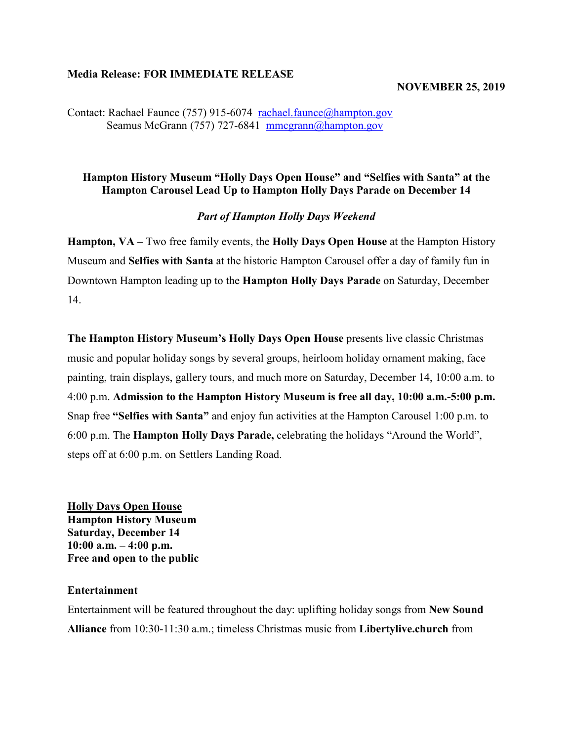#### **Media Release: FOR IMMEDIATE RELEASE**

#### **NOVEMBER 25, 2019**

Contact: Rachael Faunce (757) 915-6074 [rachael.faunce@hampton.gov](mailto:rachael.faunce@hampton.gov) Seamus McGrann (757) 727-6841 [mmcgrann@hampton.gov](mailto:mmcgrann@hampton.gov)

## **Hampton History Museum "Holly Days Open House" and "Selfies with Santa" at the Hampton Carousel Lead Up to Hampton Holly Days Parade on December 14**

#### *Part of Hampton Holly Days Weekend*

**Hampton, VA –** Two free family events, the **Holly Days Open House** at the Hampton History Museum and **Selfies with Santa** at the historic Hampton Carousel offer a day of family fun in Downtown Hampton leading up to the **Hampton Holly Days Parade** on Saturday, December 14.

**The Hampton History Museum's Holly Days Open House** presents live classic Christmas music and popular holiday songs by several groups, heirloom holiday ornament making, face painting, train displays, gallery tours, and much more on Saturday, December 14, 10:00 a.m. to 4:00 p.m. **Admission to the Hampton History Museum is free all day, 10:00 a.m.-5:00 p.m.**  Snap free **"Selfies with Santa"** and enjoy fun activities at the Hampton Carousel 1:00 p.m. to 6:00 p.m. The **Hampton Holly Days Parade,** celebrating the holidays "Around the World", steps off at 6:00 p.m. on Settlers Landing Road.

**Holly Days Open House Hampton History Museum Saturday, December 14 10:00 a.m. – 4:00 p.m. Free and open to the public**

#### **Entertainment**

Entertainment will be featured throughout the day: uplifting holiday songs from **New Sound Alliance** from 10:30-11:30 a.m.; timeless Christmas music from **Libertylive.church** from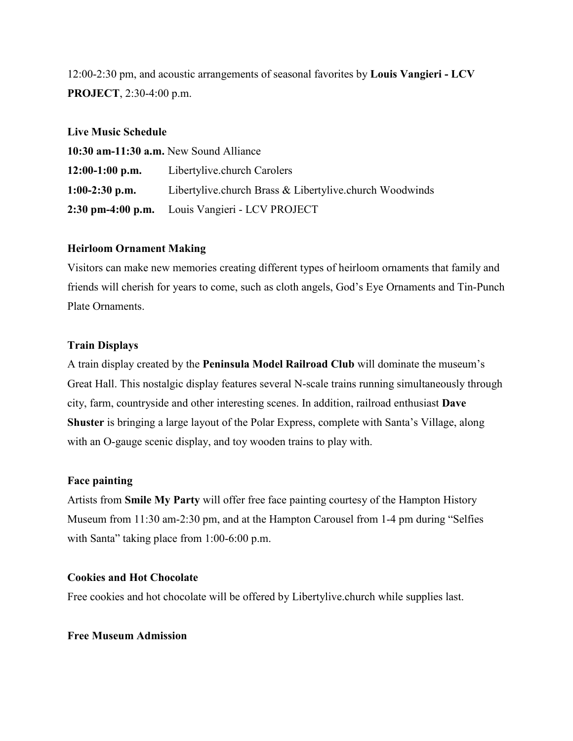12:00-2:30 pm, and acoustic arrangements of seasonal favorites by **Louis Vangieri - LCV PROJECT**, 2:30-4:00 p.m.

## **Live Music Schedule**

| 10:30 am-11:30 a.m. New Sound Alliance |                                                         |
|----------------------------------------|---------------------------------------------------------|
| $12:00-1:00$ p.m.                      | Libertylive.church Carolers                             |
| $1:00-2:30$ p.m.                       | Libertylive.church Brass & Libertylive.church Woodwinds |
|                                        | 2:30 pm-4:00 p.m. Louis Vangieri - LCV PROJECT          |

## **Heirloom Ornament Making**

Visitors can make new memories creating different types of heirloom ornaments that family and friends will cherish for years to come, such as cloth angels, God's Eye Ornaments and Tin-Punch Plate Ornaments.

## **Train Displays**

A train display created by the **Peninsula Model Railroad Club** will dominate the museum's Great Hall. This nostalgic display features several N-scale trains running simultaneously through city, farm, countryside and other interesting scenes. In addition, railroad enthusiast **Dave Shuster** is bringing a large layout of the Polar Express, complete with Santa's Village, along with an O-gauge scenic display, and toy wooden trains to play with.

## **Face painting**

Artists from **[Smile My Party](https://www.facebook.com/amileofsmilesValDAISY/)** will offer free face painting courtesy of the Hampton History Museum from 11:30 am-2:30 pm, and at the Hampton Carousel from 1-4 pm during "Selfies with Santa" taking place from 1:00-6:00 p.m.

#### **Cookies and Hot Chocolate**

Free cookies and hot chocolate will be offered by Libertylive.church while supplies last.

#### **Free Museum Admission**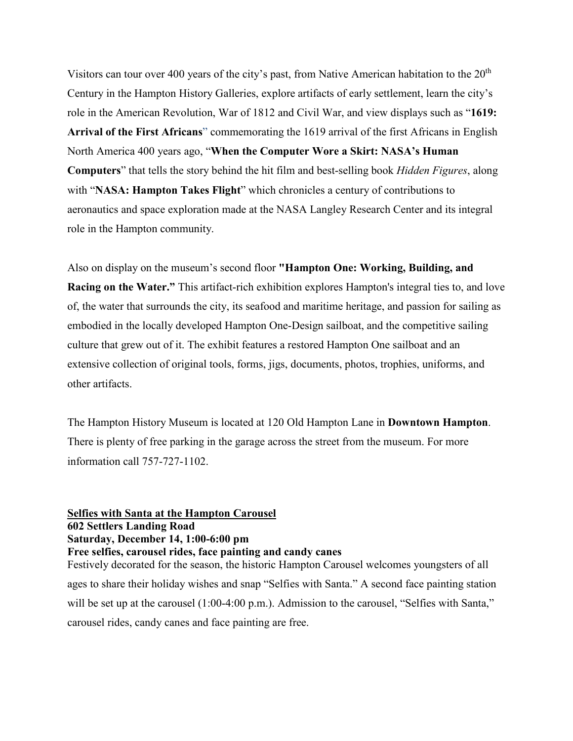Visitors can tour over 400 years of the city's past, from Native American habitation to the  $20<sup>th</sup>$ Century in the Hampton History Galleries, explore artifacts of early settlement, learn the city's role in the American Revolution, War of 1812 and Civil War, and view displays such as "**1619: Arrival of the First Africans**" commemorating the 1619 arrival of the first Africans in English North America 400 years ago, "**When the Computer Wore a Skirt: NASA's Human Computers**" that tells the story behind the hit film and best-selling book *Hidden Figures*, along with "**NASA: Hampton Takes Flight**" which chronicles a century of contributions to aeronautics and space exploration made at the NASA Langley Research Center and its integral role in the Hampton community.

Also on display on the museum's second floor **"Hampton One: Working, Building, and Racing on the Water."** This artifact-rich exhibition explores Hampton's integral ties to, and love of, the water that surrounds the city, its seafood and maritime heritage, and passion for sailing as embodied in the locally developed Hampton One-Design sailboat, and the competitive sailing culture that grew out of it. The exhibit features a restored Hampton One sailboat and an extensive collection of original tools, forms, jigs, documents, photos, trophies, uniforms, and other artifacts.

The Hampton History Museum is located at 120 Old Hampton Lane in **Downtown Hampton**. There is plenty of free parking in the garage across the street from the museum. For more information call 757-727-1102.

# **Selfies with Santa at the Hampton Carousel 602 Settlers Landing Road Saturday, December 14, 1:00-6:00 pm Free selfies, carousel rides, face painting and candy canes**

Festively decorated for the season, the historic Hampton Carousel welcomes youngsters of all ages to share their holiday wishes and snap "Selfies with Santa." A second face painting station will be set up at the carousel (1:00-4:00 p.m.). Admission to the carousel, "Selfies with Santa," carousel rides, candy canes and face painting are free.